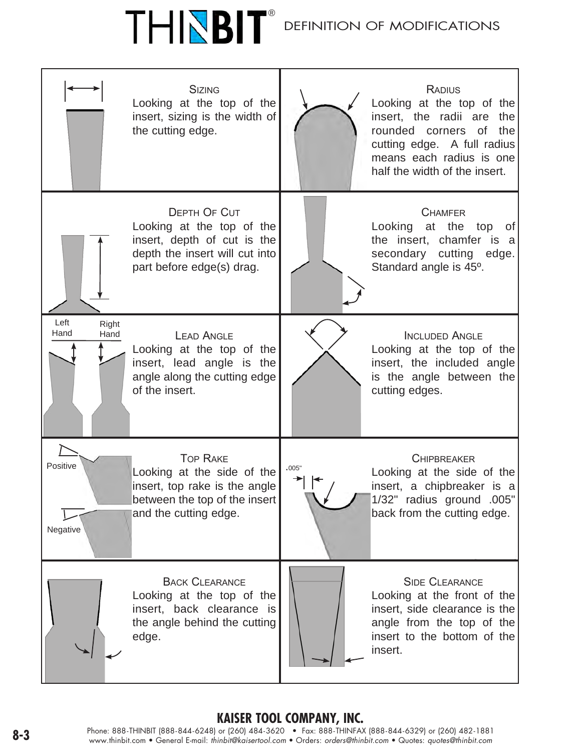# ®

### DEFINITION OF MC



### **Kaiser Tool Company, Inc.**